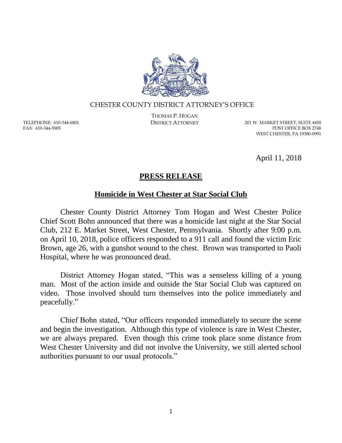

## CHESTER COUNTY DISTRICT ATTORNEY'S OFFICE

TELEPHONE: 610-344-6801 FAX: 610-344-5905

THOMAS P. HOGAN

DISTRICT ATTORNEY 201 W. MARKET STREET, SUITE 4450 POST OFFICE BOX 2748 WEST CHESTER, PA 19380-0991

April 11, 2018

## **PRESS RELEASE**

## **Homicide in West Chester at Star Social Club**

Chester County District Attorney Tom Hogan and West Chester Police Chief Scott Bohn announced that there was a homicide last night at the Star Social Club, 212 E. Market Street, West Chester, Pennsylvania. Shortly after 9:00 p.m. on April 10, 2018, police officers responded to a 911 call and found the victim Eric Brown, age 26, with a gunshot wound to the chest. Brown was transported to Paoli Hospital, where he was pronounced dead.

District Attorney Hogan stated, "This was a senseless killing of a young man. Most of the action inside and outside the Star Social Club was captured on video. Those involved should turn themselves into the police immediately and peacefully."

Chief Bohn stated, "Our officers responded immediately to secure the scene and begin the investigation. Although this type of violence is rare in West Chester, we are always prepared. Even though this crime took place some distance from West Chester University and did not involve the University, we still alerted school authorities pursuant to our usual protocols."